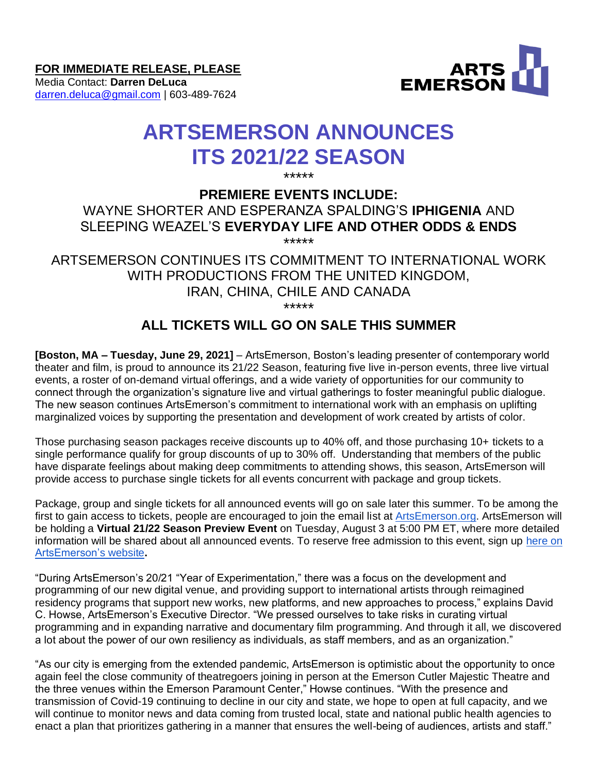**FOR IMMEDIATE RELEASE, PLEASE**

Media Contact: **Darren DeLuca** [darren.deluca@gmail.com](mailto:darren.deluca@gmail.com) | 603-489-7624



# **ARTSEMERSON ANNOUNCES ITS 2021/22 SEASON**

\*\*\*\*\*

# **PREMIERE EVENTS INCLUDE:**

## WAYNE SHORTER AND ESPERANZA SPALDING'S **IPHIGENIA** AND SLEEPING WEAZEL'S **EVERYDAY LIFE AND OTHER ODDS & ENDS** \*\*\*\*\*

ARTSEMERSON CONTINUES ITS COMMITMENT TO INTERNATIONAL WORK WITH PRODUCTIONS FROM THE UNITED KINGDOM, IRAN, CHINA, CHILE AND CANADA \*\*\*\*\*

# **ALL TICKETS WILL GO ON SALE THIS SUMMER**

**[Boston, MA – Tuesday, June 29, 2021]** – ArtsEmerson, Boston's leading presenter of contemporary world theater and film, is proud to announce its 21/22 Season, featuring five live in-person events, three live virtual events, a roster of on-demand virtual offerings, and a wide variety of opportunities for our community to connect through the organization's signature live and virtual gatherings to foster meaningful public dialogue. The new season continues ArtsEmerson's commitment to international work with an emphasis on uplifting marginalized voices by supporting the presentation and development of work created by artists of color.

Those purchasing season packages receive discounts up to 40% off, and those purchasing 10+ tickets to a single performance qualify for group discounts of up to 30% off. Understanding that members of the public have disparate feelings about making deep commitments to attending shows, this season, ArtsEmerson will provide access to purchase single tickets for all events concurrent with package and group tickets.

Package, group and single tickets for all announced events will go on sale later this summer. To be among the first to gain access to tickets, people are encouraged to join the email list a[t ArtsEmerson.org.](https://artsemerson.org/Online/default.asp#email) ArtsEmerson will be holding a **Virtual 21/22 Season Preview Event** on Tuesday, August 3 at 5:00 PM ET, where more detailed information will be shared about all announced events. To reserve free admission to this event, sign up [here on](https://artsemerson.org/Online/seatSelect.asp?createBO::WSmap=1&BOparam::WSmap::loadBestAvailable::performance_ids=62B323EF-CD91-4309-ADE3-B057766406E6)  [ArtsEmerson's website](https://artsemerson.org/Online/seatSelect.asp?createBO::WSmap=1&BOparam::WSmap::loadBestAvailable::performance_ids=62B323EF-CD91-4309-ADE3-B057766406E6)**.**

"During ArtsEmerson's 20/21 "Year of Experimentation," there was a focus on the development and programming of our new digital venue, and providing support to international artists through reimagined residency programs that support new works, new platforms, and new approaches to process," explains David C. Howse, ArtsEmerson's Executive Director. "We pressed ourselves to take risks in curating virtual programming and in expanding narrative and documentary film programming. And through it all, we discovered a lot about the power of our own resiliency as individuals, as staff members, and as an organization."

"As our city is emerging from the extended pandemic, ArtsEmerson is optimistic about the opportunity to once again feel the close community of theatregoers joining in person at the Emerson Cutler Majestic Theatre and the three venues within the Emerson Paramount Center," Howse continues. "With the presence and transmission of Covid-19 continuing to decline in our city and state, we hope to open at full capacity, and we will continue to monitor news and data coming from trusted local, state and national public health agencies to enact a plan that prioritizes gathering in a manner that ensures the well-being of audiences, artists and staff."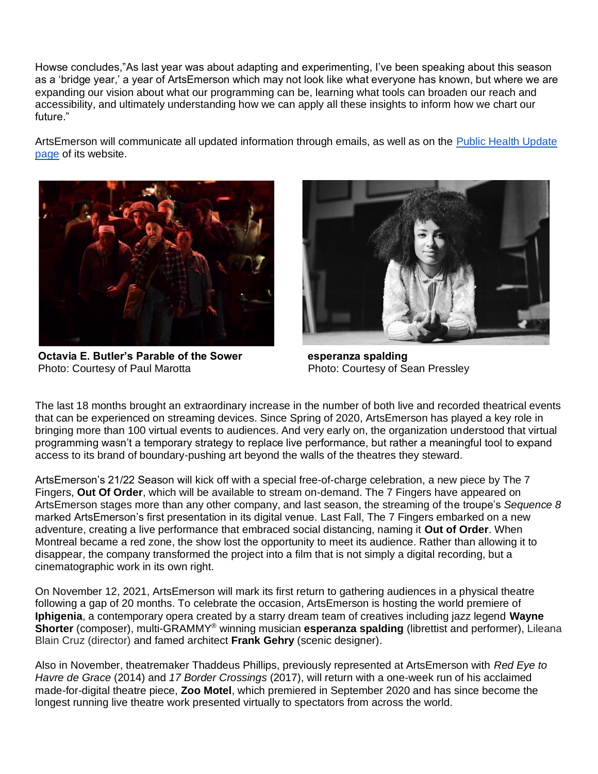Howse concludes,"As last year was about adapting and experimenting, I've been speaking about this season as a 'bridge year,' a year of ArtsEmerson which may not look like what everyone has known, but where we are expanding our vision about what our programming can be, learning what tools can broaden our reach and accessibility, and ultimately understanding how we can apply all these insights to inform how we chart our future."

ArtsEmerson will communicate all updated information through emails, as well as on the [Public Health Update](https://artsemerson.org/Online/default.asp?BOparam::WScontent::loadArticle::permalink=health-update&BOparam::WScontent::loadArticle::context_id=)  [page](https://artsemerson.org/Online/default.asp?BOparam::WScontent::loadArticle::permalink=health-update&BOparam::WScontent::loadArticle::context_id=) of its website.



**Octavia E. Butler's Parable of the Sower esperanza spalding**  Photo: Courtesy of Paul Marotta **Photo: Courtesy of Sean Pressley** 



The last 18 months brought an extraordinary increase in the number of both live and recorded theatrical events that can be experienced on streaming devices. Since Spring of 2020, ArtsEmerson has played a key role in bringing more than 100 virtual events to audiences. And very early on, the organization understood that virtual programming wasn't a temporary strategy to replace live performance, but rather a meaningful tool to expand access to its brand of boundary-pushing art beyond the walls of the theatres they steward.

ArtsEmerson's 21/22 Season will kick off with a special free-of-charge celebration, a new piece by The 7 Fingers, **Out Of Order**, which will be available to stream on-demand. The 7 Fingers have appeared on ArtsEmerson stages more than any other company, and last season, the streaming of the troupe's *Sequence 8* marked ArtsEmerson's first presentation in its digital venue. Last Fall, The 7 Fingers embarked on a new adventure, creating a live performance that embraced social distancing, naming it **Out of Order**. When Montreal became a red zone, the show lost the opportunity to meet its audience. Rather than allowing it to disappear, the company transformed the project into a film that is not simply a digital recording, but a cinematographic work in its own right.

On November 12, 2021, ArtsEmerson will mark its first return to gathering audiences in a physical theatre following a gap of 20 months. To celebrate the occasion, ArtsEmerson is hosting the world premiere of **Iphigenia**, a contemporary opera created by a starry dream team of creatives including jazz legend **Wayne Shorter** (composer), multi-GRAMMY® winning musician **esperanza spalding** (librettist and performer), Lileana Blain Cruz (director) and famed architect **Frank Gehry** (scenic designer).

Also in November, theatremaker Thaddeus Phillips, previously represented at ArtsEmerson with *Red Eye to Havre de Grace* (2014) and *17 Border Crossings* (2017), will return with a one-week run of his acclaimed made-for-digital theatre piece, **Zoo Motel**, which premiered in September 2020 and has since become the longest running live theatre work presented virtually to spectators from across the world.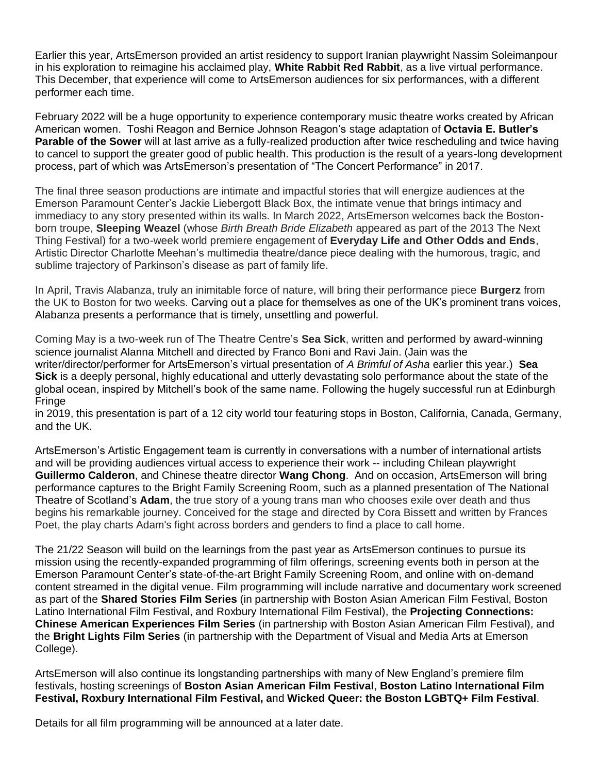Earlier this year, ArtsEmerson provided an artist residency to support Iranian playwright Nassim Soleimanpour in his exploration to reimagine his acclaimed play, **White Rabbit Red Rabbit**, as a live virtual performance. This December, that experience will come to ArtsEmerson audiences for six performances, with a different performer each time.

February 2022 will be a huge opportunity to experience contemporary music theatre works created by African American women. Toshi Reagon and Bernice Johnson Reagon's stage adaptation of **Octavia E. Butler's Parable of the Sower** will at last arrive as a fully-realized production after twice rescheduling and twice having to cancel to support the greater good of public health. This production is the result of a years-long development process, part of which was ArtsEmerson's presentation of "The Concert Performance" in 2017.

The final three season productions are intimate and impactful stories that will energize audiences at the Emerson Paramount Center's Jackie Liebergott Black Box, the intimate venue that brings intimacy and immediacy to any story presented within its walls. In March 2022, ArtsEmerson welcomes back the Bostonborn troupe, **Sleeping Weazel** (whose *Birth Breath Bride Elizabeth* appeared as part of the 2013 The Next Thing Festival) for a two-week world premiere engagement of **Everyday Life and Other Odds and Ends**, Artistic Director Charlotte Meehan's multimedia theatre/dance piece dealing with the humorous, tragic, and sublime trajectory of Parkinson's disease as part of family life.

In April, Travis Alabanza, truly an inimitable force of nature, will bring their performance piece **Burgerz** from the UK to Boston for two weeks. Carving out a place for themselves as one of the UK's prominent trans voices, Alabanza presents a performance that is timely, unsettling and powerful.

Coming May is a two-week run of The Theatre Centre's **Sea Sick**, written and performed by award-winning science journalist Alanna Mitchell and directed by Franco Boni and Ravi Jain. (Jain was the writer/director/performer for ArtsEmerson's virtual presentation of *A Brimful of Asha* earlier this year.) **Sea Sick** is a deeply personal, highly educational and utterly devastating solo performance about the state of the global ocean, inspired by Mitchell's book of the same name. Following the hugely successful run at Edinburgh **Fringe** 

in 2019, this presentation is part of a 12 city world tour featuring stops in Boston, California, Canada, Germany, and the UK.

ArtsEmerson's Artistic Engagement team is currently in conversations with a number of international artists and will be providing audiences virtual access to experience their work -- including Chilean playwright **Guillermo Calderon**, and Chinese theatre director **Wang Chong**. And on occasion, ArtsEmerson will bring performance captures to the Bright Family Screening Room, such as a planned presentation of The National Theatre of Scotland's **Adam**, the true story of a young trans man who chooses exile over death and thus begins his remarkable journey. Conceived for the stage and directed by Cora Bissett and written by Frances Poet, the play charts Adam's fight across borders and genders to find a place to call home.

The 21/22 Season will build on the learnings from the past year as ArtsEmerson continues to pursue its mission using the recently-expanded programming of film offerings, screening events both in person at the Emerson Paramount Center's state-of-the-art Bright Family Screening Room, and online with on-demand content streamed in the digital venue. Film programming will include narrative and documentary work screened as part of the **Shared Stories Film Series** (in partnership with Boston Asian American Film Festival, Boston Latino International Film Festival, and Roxbury International Film Festival), the **Projecting Connections: Chinese American Experiences Film Series** (in partnership with Boston Asian American Film Festival), and the **Bright Lights Film Series** (in partnership with the Department of Visual and Media Arts at Emerson College).

ArtsEmerson will also continue its longstanding partnerships with many of New England's premiere film festivals, hosting screenings of **Boston Asian American Film Festival**, **Boston Latino International Film Festival, Roxbury International Film Festival, a**nd **Wicked Queer: the Boston LGBTQ+ Film Festival**.

Details for all film programming will be announced at a later date.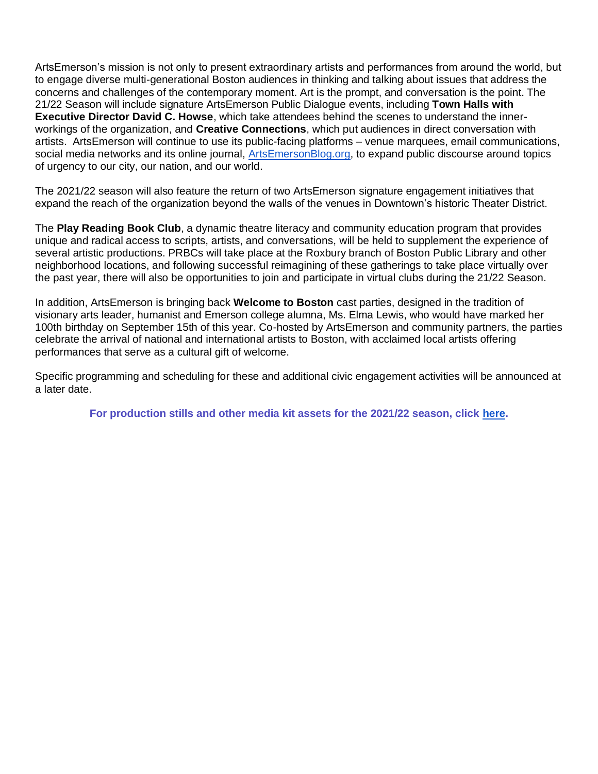ArtsEmerson's mission is not only to present extraordinary artists and performances from around the world, but to engage diverse multi-generational Boston audiences in thinking and talking about issues that address the concerns and challenges of the contemporary moment. Art is the prompt, and conversation is the point. The 21/22 Season will include signature ArtsEmerson Public Dialogue events, including **Town Halls with Executive Director David C. Howse**, which take attendees behind the scenes to understand the innerworkings of the organization, and **Creative Connections**, which put audiences in direct conversation with artists. ArtsEmerson will continue to use its public-facing platforms – venue marquees, email communications, social media networks and its online journal, [ArtsEmersonBlog.org,](http://artsemersonblog.org/) to expand public discourse around topics of urgency to our city, our nation, and our world.

The 2021/22 season will also feature the return of two ArtsEmerson signature engagement initiatives that expand the reach of the organization beyond the walls of the venues in Downtown's historic Theater District.

The **Play Reading Book Club**, a dynamic theatre literacy and community education program that provides unique and radical access to scripts, artists, and conversations, will be held to supplement the experience of several artistic productions. PRBCs will take place at the Roxbury branch of Boston Public Library and other neighborhood locations, and following successful reimagining of these gatherings to take place virtually over the past year, there will also be opportunities to join and participate in virtual clubs during the 21/22 Season.

In addition, ArtsEmerson is bringing back **Welcome to Boston** cast parties, designed in the tradition of visionary arts leader, humanist and Emerson college alumna, Ms. Elma Lewis, who would have marked her 100th birthday on September 15th of this year. Co-hosted by ArtsEmerson and community partners, the parties celebrate the arrival of national and international artists to Boston, with acclaimed local artists offering performances that serve as a cultural gift of welcome.

Specific programming and scheduling for these and additional civic engagement activities will be announced at a later date.

**For production stills and other media kit assets for the 2021/22 season, click [here.](https://artsemerson.org/Online/article/2122-mediakit)**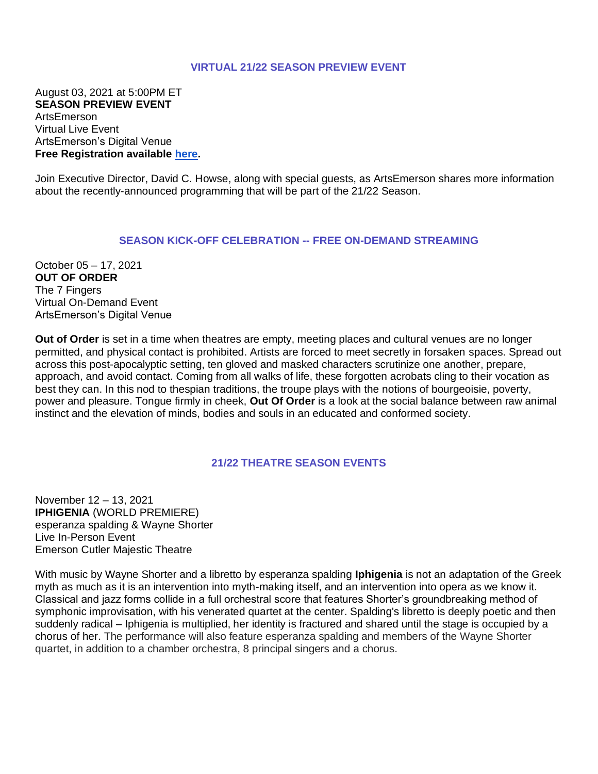#### **VIRTUAL 21/22 SEASON PREVIEW EVENT**

August 03, 2021 at 5:00PM ET **SEASON PREVIEW EVENT** ArtsEmerson Virtual Live Event ArtsEmerson's Digital Venue **Free Registration available [here.](https://artsemerson.org/Online/seatSelect.asp?createBO::WSmap=1&BOparam::WSmap::loadBestAvailable::performance_ids=62B323EF-CD91-4309-ADE3-B057766406E6)**

Join Executive Director, David C. Howse, along with special guests, as ArtsEmerson shares more information about the recently-announced programming that will be part of the 21/22 Season.

#### **SEASON KICK-OFF CELEBRATION -- FREE ON-DEMAND STREAMING**

October 05 – 17, 2021 **OUT OF ORDER** The 7 Fingers Virtual On-Demand Event ArtsEmerson's Digital Venue

**Out of Order** is set in a time when theatres are empty, meeting places and cultural venues are no longer permitted, and physical contact is prohibited. Artists are forced to meet secretly in forsaken spaces. Spread out across this post-apocalyptic setting, ten gloved and masked characters scrutinize one another, prepare, approach, and avoid contact. Coming from all walks of life, these forgotten acrobats cling to their vocation as best they can. In this nod to thespian traditions, the troupe plays with the notions of bourgeoisie, poverty, power and pleasure. Tongue firmly in cheek, **Out Of Order** is a look at the social balance between raw animal instinct and the elevation of minds, bodies and souls in an educated and conformed society.

## **21/22 THEATRE SEASON EVENTS**

November 12 – 13, 2021 **IPHIGENIA** (WORLD PREMIERE) esperanza spalding & Wayne Shorter Live In-Person Event Emerson Cutler Majestic Theatre

With music by Wayne Shorter and a libretto by esperanza spalding **Iphigenia** is not an adaptation of the Greek myth as much as it is an intervention into myth-making itself, and an intervention into opera as we know it. Classical and jazz forms collide in a full orchestral score that features Shorter's groundbreaking method of symphonic improvisation, with his venerated quartet at the center. Spalding's libretto is deeply poetic and then suddenly radical – Iphigenia is multiplied, her identity is fractured and shared until the stage is occupied by a chorus of her. The performance will also feature esperanza spalding and members of the Wayne Shorter quartet, in addition to a chamber orchestra, 8 principal singers and a chorus.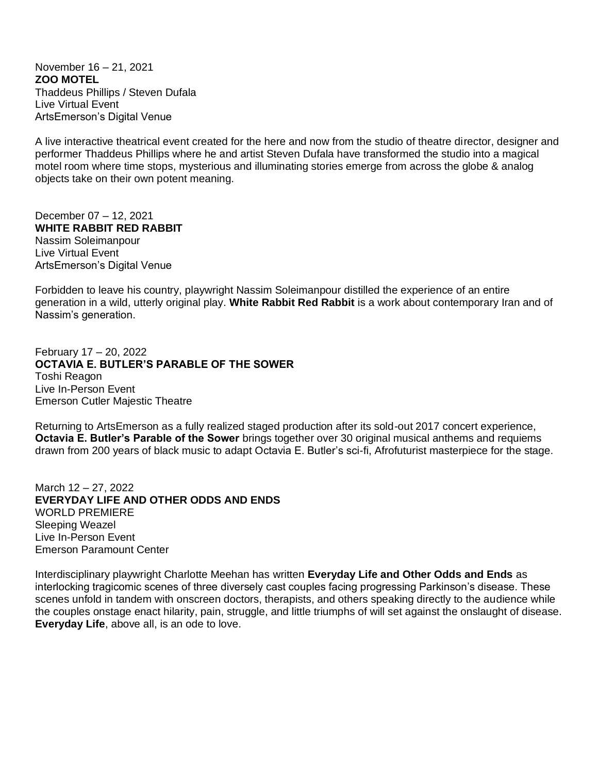November 16 – 21, 2021 **ZOO MOTEL** Thaddeus Phillips / Steven Dufala Live Virtual Event ArtsEmerson's Digital Venue

A live interactive theatrical event created for the here and now from the studio of theatre director, designer and performer Thaddeus Phillips where he and artist Steven Dufala have transformed the studio into a magical motel room where time stops, mysterious and illuminating stories emerge from across the globe & analog objects take on their own potent meaning.

December 07 – 12, 2021 **WHITE RABBIT RED RABBIT** Nassim Soleimanpour Live Virtual Event ArtsEmerson's Digital Venue

Forbidden to leave his country, playwright Nassim Soleimanpour distilled the experience of an entire generation in a wild, utterly original play. **White Rabbit Red Rabbit** is a work about contemporary Iran and of Nassim's generation.

February 17 – 20, 2022 **OCTAVIA E. BUTLER'S PARABLE OF THE SOWER** Toshi Reagon Live In-Person Event Emerson Cutler Majestic Theatre

Returning to ArtsEmerson as a fully realized staged production after its sold-out 2017 concert experience, **Octavia E. Butler's Parable of the Sower** brings together over 30 original musical anthems and requiems drawn from 200 years of black music to adapt Octavia E. Butler's sci-fi, Afrofuturist masterpiece for the stage.

March 12 – 27, 2022 **EVERYDAY LIFE AND OTHER ODDS AND ENDS** WORLD PREMIERE Sleeping Weazel Live In-Person Event Emerson Paramount Center

Interdisciplinary playwright Charlotte Meehan has written **Everyday Life and Other Odds and Ends** as interlocking tragicomic scenes of three diversely cast couples facing progressing Parkinson's disease. These scenes unfold in tandem with onscreen doctors, therapists, and others speaking directly to the audience while the couples onstage enact hilarity, pain, struggle, and little triumphs of will set against the onslaught of disease. **Everyday Life**, above all, is an ode to love.